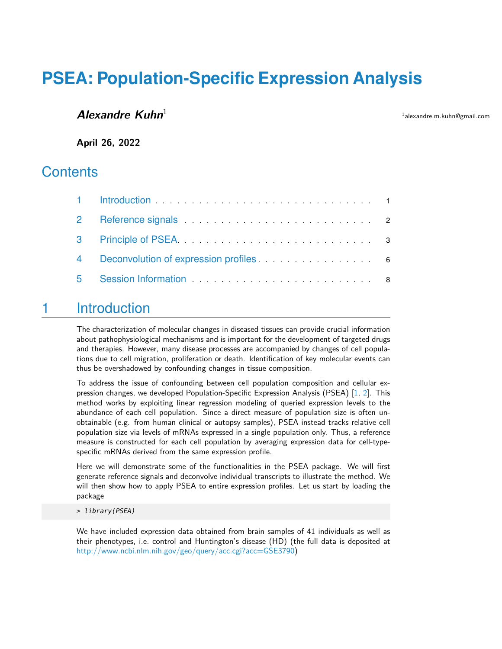# **PSEA: Population-Specific Expression Analysis**

#### **Alexandre Kuhn**<sup>1</sup>

<sup>1</sup>alexandre.m.kuhn@gmail.com

**April 26, 2022**

#### **Contents**

|   | 4 Deconvolution of expression profiles <b>Example 20</b> 6 |  |
|---|------------------------------------------------------------|--|
| 5 |                                                            |  |

### <span id="page-0-0"></span>1 Introduction

The characterization of molecular changes in diseased tissues can provide crucial information about pathophysiological mechanisms and is important for the development of targeted drugs and therapies. However, many disease processes are accompanied by changes of cell populations due to cell migration, proliferation or death. Identification of key molecular events can thus be overshadowed by confounding changes in tissue composition.

To address the issue of confounding between cell population composition and cellular expression changes, we developed Population-Specific Expression Analysis (PSEA) [\[1,](#page-8-0) [2\]](#page-8-1). This method works by exploiting linear regression modeling of queried expression levels to the abundance of each cell population. Since a direct measure of population size is often unobtainable (e.g. from human clinical or autopsy samples), PSEA instead tracks relative cell population size via levels of mRNAs expressed in a single population only. Thus, a reference measure is constructed for each cell population by averaging expression data for cell-typespecific mRNAs derived from the same expression profile.

Here we will demonstrate some of the functionalities in the PSEA package. We will first generate reference signals and deconvolve individual transcripts to illustrate the method. We will then show how to apply PSEA to entire expression profiles. Let us start by loading the package

> library(PSEA)

We have included expression data obtained from brain samples of 41 individuals as well as their phenotypes, i.e. control and Huntington's disease (HD) (the full data is deposited at [http://www.ncbi.nlm.nih.gov/geo/query/acc.cgi?acc=GSE3790\)](http://www.ncbi.nlm.nih.gov/geo/query/acc.cgi?acc=GSE3790)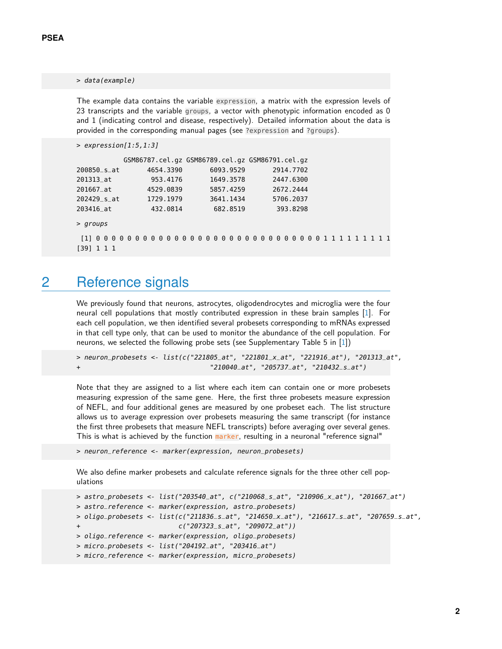#### > data(example)

The example data contains the variable expression, a matrix with the expression levels of 23 transcripts and the variable groups, a vector with phenotypic information encoded as 0 and 1 (indicating control and disease, respectively). Detailed information about the data is provided in the corresponding manual pages (see ?expression and ?groups).

```
> expression[1:5,1:3]
```

|             |           | GSM86787.cel.gz GSM86789.cel.gz GSM86791.cel.gz |           |
|-------------|-----------|-------------------------------------------------|-----------|
| 200850_s_at | 4654.3390 | 6093.9529                                       | 2914.7702 |
| 201313_at   | 953.4176  | 1649.3578                                       | 2447.6300 |
| 201667_at   | 4529.0839 | 5857.4259                                       | 2672.2444 |
| 202429_s_at | 1729.1979 | 3641.1434                                       | 5706.2037 |
| 203416_at   | 432.0814  | 682.8519                                        | 393.8298  |
|             |           |                                                 |           |

> groups

```
[1] 0 0 0 0 0 0 0 0 0 0 0 0 0 0 0 0 0 0 0 0 0 0 0 0 0 0 0 0 0 1 1 1 1 1 1 1 1 1
[39] 1 1 1
```
### 2 Reference signals

We previously found that neurons, astrocytes, oligodendrocytes and microglia were the four neural cell populations that mostly contributed expression in these brain samples [\[1\]](#page-8-0). For each cell population, we then identified several probesets corresponding to mRNAs expressed in that cell type only, that can be used to monitor the abundance of the cell population. For neurons, we selected the following probe sets (see Supplementary Table 5 in [\[1\]](#page-8-0))

```
> neuron_probesets <- list(c("221805_at", "221801_x_at", "221916_at"), "201313_at",
+ "210040_at", "205737_at", "210432_s_at")
```
Note that they are assigned to a list where each item can contain one or more probesets measuring expression of the same gene. Here, the first three probesets measure expression of NEFL, and four additional genes are measured by one probeset each. The list structure allows us to average expression over probesets measuring the same transcript (for instance the first three probesets that measure NEFL transcripts) before averaging over several genes. This is what is achieved by the function marker, resulting in a neuronal "reference signal"

> neuron\_reference <- marker(expression, neuron\_probesets)

We also define marker probesets and calculate reference signals for the three other cell populations

```
> astro_probesets <- list("203540_at", c("210068_s_at", "210906_x_at"), "201667_at")
> astro_reference <- marker(expression, astro_probesets)
> oligo_probesets <- list(c("211836_s_at", "214650_x_at"), "216617_s_at", "207659_s_at",
                          c("207323_s_at", "209072_at"))> oligo_reference <- marker(expression, oligo_probesets)
> micro_probesets <- list("204192_at", "203416_at")
> micro_reference <- marker(expression, micro_probesets)
```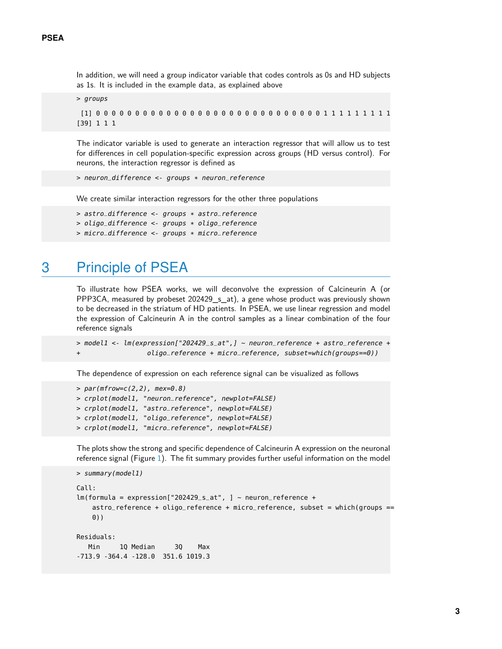In addition, we will need a group indicator variable that codes controls as 0s and HD subjects as 1s. It is included in the example data, as explained above

```
> groups
 [1] 0 0 0 0 0 0 0 0 0 0 0 0 0 0 0 0 0 0 0 0 0 0 0 0 0 0 0 0 0 1 1 1 1 1 1 1 1 1
[39] 1 1 1
```
The indicator variable is used to generate an interaction regressor that will allow us to test for differences in cell population-specific expression across groups (HD versus control). For neurons, the interaction regressor is defined as

```
> neuron_difference <- groups * neuron_reference
```
We create similar interaction regressors for the other three populations

```
> astro_difference <- groups * astro_reference
> oligo_difference <- groups * oligo_reference
> micro_difference <- groups * micro_reference
```
### 3 Principle of PSEA

To illustrate how PSEA works, we will deconvolve the expression of Calcineurin A (or PPP3CA, measured by probeset 202429\_s\_at), a gene whose product was previously shown to be decreased in the striatum of HD patients. In PSEA, we use linear regression and model the expression of Calcineurin A in the control samples as a linear combination of the four reference signals

```
> model1 <- lm(expression["202429_s_at",] ~ neuron_reference + astro_reference +
                  oligo_reference + micro_reference, subset=which(groups==0))
```
The dependence of expression on each reference signal can be visualized as follows

```
> par(mfrow=c(2,2), mex=0.8)> crplot(model1, "neuron_reference", newplot=FALSE)
> crplot(model1, "astro_reference", newplot=FALSE)
> crplot(model1, "oligo_reference", newplot=FALSE)
> crplot(model1, "micro_reference", newplot=FALSE)
```
The plots show the strong and specific dependence of Calcineurin A expression on the neuronal reference signal (Figure [1\)](#page-3-0). The fit summary provides further useful information on the model

```
> summary(model1)
Call:
lm(formula = expression['202429_s_at", ] - neuron_reference +astro_reference + oligo_reference + micro_reference, subset = which(groups ==
    0))
Residuals:
   Min 1Q Median 3Q Max
-713.9 -364.4 -128.0 351.6 1019.3
```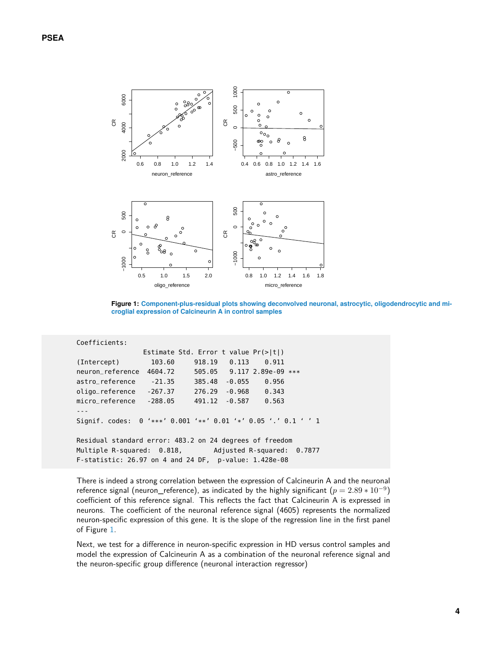<span id="page-3-0"></span>

**Figure 1: Component-plus-residual plots showing deconvolved neuronal, astrocytic, oligodendrocytic and microglial expression of Calcineurin A in control samples**

```
Coefficients:
               Estimate Std. Error t value Pr(>|t|)
(Intercept) 103.60 918.19 0.113 0.911
neuron_reference 4604.72 505.05 9.117 2.89e-09 ***
astro_reference -21.35 385.48 -0.055 0.956
oligo_reference -267.37 276.29 -0.968 0.343
micro_reference -288.05 491.12 -0.587 0.563
---
Signif. codes: 0 '***' 0.001 '**' 0.01 '*' 0.05 '.' 0.1 ' ' 1
Residual standard error: 483.2 on 24 degrees of freedom
Multiple R-squared: 0.818, Adjusted R-squared: 0.7877
F-statistic: 26.97 on 4 and 24 DF, p-value: 1.428e-08
```
There is indeed a strong correlation between the expression of Calcineurin A and the neuronal reference signal (neuron\_reference), as indicated by the highly significant  $(p=2.89*10^{-9})$ coefficient of this reference signal. This reflects the fact that Calcineurin A is expressed in neurons. The coefficient of the neuronal reference signal (4605) represents the normalized neuron-specific expression of this gene. It is the slope of the regression line in the first panel of Figure [1.](#page-3-0)

Next, we test for a difference in neuron-specific expression in HD versus control samples and model the expression of Calcineurin A as a combination of the neuronal reference signal and the neuron-specific group difference (neuronal interaction regressor)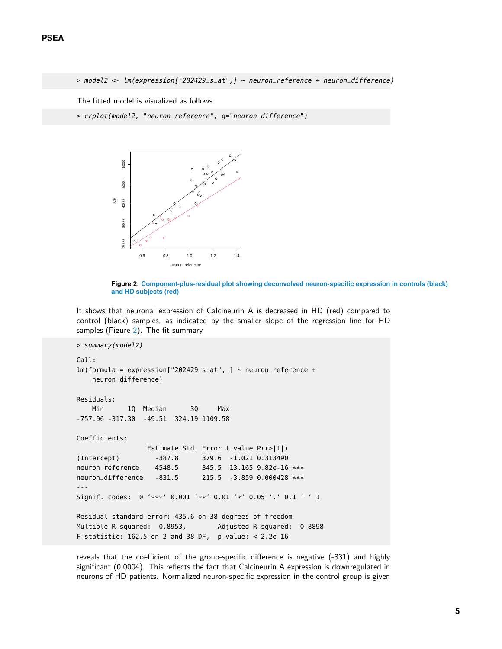> model2 <- lm(expression["202429\_s\_at",] ~ neuron\_reference + neuron\_difference)

The fitted model is visualized as follows

<span id="page-4-0"></span>> crplot(model2, "neuron\_reference", g="neuron\_difference")



**Figure 2: Component-plus-residual plot showing deconvolved neuron-specific expression in controls (black) and HD subjects (red)**

It shows that neuronal expression of Calcineurin A is decreased in HD (red) compared to control (black) samples, as indicated by the smaller slope of the regression line for HD samples (Figure [2\)](#page-4-0). The fit summary

```
> summary(model2)
Call:
lm(formula = expression['202429_s_at", ] ~ neuron_reference +
   neuron_difference)
Residuals:
   Min 1Q Median 3Q Max
-757.06 -317.30 -49.51 324.19 1109.58
Coefficients:
                Estimate Std. Error t value Pr(>|t|)
(Intercept) -387.8 379.6 -1.021 0.313490
neuron_reference 4548.5 345.5 13.165 9.82e-16 ***
neuron_difference -831.5 215.5 -3.859 0.000428 ***
---
Signif. codes: 0 '***' 0.001 '**' 0.01 '*' 0.05 '.' 0.1 ' ' 1
Residual standard error: 435.6 on 38 degrees of freedom
Multiple R-squared: 0.8953, Adjusted R-squared: 0.8898
F-statistic: 162.5 on 2 and 38 DF, p-value: < 2.2e-16
```
reveals that the coefficient of the group-specific difference is negative (-831) and highly significant (0.0004). This reflects the fact that Calcineurin A expression is downregulated in neurons of HD patients. Normalized neuron-specific expression in the control group is given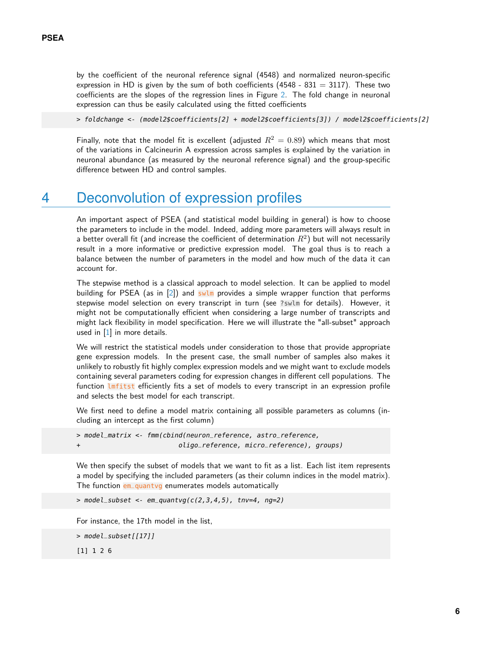by the coefficient of the neuronal reference signal (4548) and normalized neuron-specific expression in HD is given by the sum of both coefficients (4548 - 831 = 3117). These two coefficients are the slopes of the regression lines in Figure [2.](#page-4-0) The fold change in neuronal expression can thus be easily calculated using the fitted coefficients

> foldchange <- (model2\$coefficients[2] + model2\$coefficients[3]) / model2\$coefficients[2]

<span id="page-5-0"></span>Finally, note that the model fit is excellent (adjusted  $R^2 = 0.89$ ) which means that most of the variations in Calcineurin A expression across samples is explained by the variation in neuronal abundance (as measured by the neuronal reference signal) and the group-specific difference between HD and control samples.

#### 4 Deconvolution of expression profiles

An important aspect of PSEA (and statistical model building in general) is how to choose the parameters to include in the model. Indeed, adding more parameters will always result in a better overall fit (and increase the coefficient of determination  $R^2)$  but will not necessarily result in a more informative or predictive expression model. The goal thus is to reach a balance between the number of parameters in the model and how much of the data it can account for.

The stepwise method is a classical approach to model selection. It can be applied to model building for PSEA (as in  $[2]$ ) and swlm provides a simple wrapper function that performs stepwise model selection on every transcript in turn (see ?swlm for details). However, it might not be computationally efficient when considering a large number of transcripts and might lack flexibility in model specification. Here we will illustrate the "all-subset" approach used in [\[1\]](#page-8-0) in more details.

We will restrict the statistical models under consideration to those that provide appropriate gene expression models. In the present case, the small number of samples also makes it unlikely to robustly fit highly complex expression models and we might want to exclude models containing several parameters coding for expression changes in different cell populations. The function *Imfitst* efficiently fits a set of models to every transcript in an expression profile and selects the best model for each transcript.

We first need to define a model matrix containing all possible parameters as columns (including an intercept as the first column)

```
> model_matrix <- fmm(cbind(neuron_reference, astro_reference,
+ oligo_reference, micro_reference), groups)
```
We then specify the subset of models that we want to fit as a list. Each list item represents a model by specifying the included parameters (as their column indices in the model matrix). The function em\_quantvg enumerates models automatically

 $>$  model\_subset <- em\_quantvg(c(2,3,4,5), tnv=4, ng=2)

For instance, the 17th model in the list,

> model\_subset[[17]]

[1] 1 2 6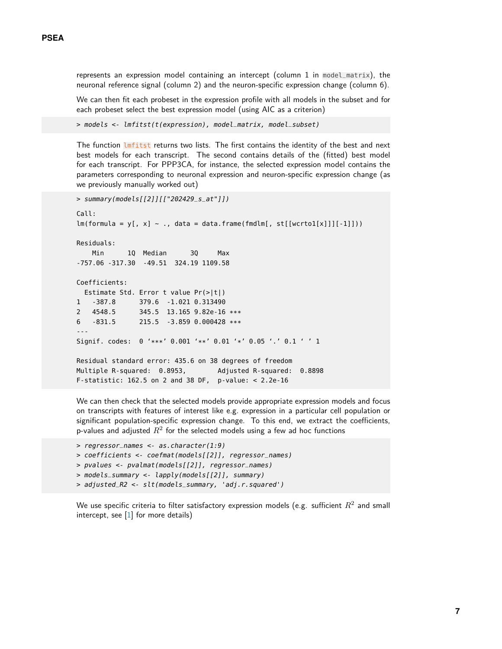represents an expression model containing an intercept (column 1 in model\_matrix), the neuronal reference signal (column 2) and the neuron-specific expression change (column 6).

We can then fit each probeset in the expression profile with all models in the subset and for each probeset select the best expression model (using AIC as a criterion)

> models <- lmfitst(t(expression), model\_matrix, model\_subset)

The function *lmfitst* returns two lists. The first contains the identity of the best and next best models for each transcript. The second contains details of the (fitted) best model for each transcript. For PPP3CA, for instance, the selected expression model contains the parameters corresponding to neuronal expression and neuron-specific expression change (as we previously manually worked out)

```
> summary(models[[2]][["202429_s_at"]])
Call:
lm(formula = y[, x] ~., data = data.frame(fmdlm[, st[[wcrto1[x]]][-1]]))
Residuals:
   Min 1Q Median 3Q Max
-757.06 -317.30 -49.51 324.19 1109.58
Coefficients:
  Estimate Std. Error t value Pr(>|t|)
1 -387.8 379.6 -1.021 0.313490
2 4548.5 345.5 13.165 9.82e-16 ***
6 -831.5 215.5 -3.859 0.000428 ***
---
Signif. codes: 0 '***' 0.001 '**' 0.01 '*' 0.05 '.' 0.1 ' ' 1
Residual standard error: 435.6 on 38 degrees of freedom
Multiple R-squared: 0.8953, Adjusted R-squared: 0.8898
F-statistic: 162.5 on 2 and 38 DF, p-value: < 2.2e-16
```
We can then check that the selected models provide appropriate expression models and focus on transcripts with features of interest like e.g. expression in a particular cell population or significant population-specific expression change. To this end, we extract the coefficients, p-values and adjusted  $R^2$  for the selected models using a few ad hoc functions

```
> regressor_names <- as.character(1:9)
> coefficients <- coefmat(models[[2]], regressor_names)
> pvalues <- pvalmat(models[[2]], regressor_names)
> models_summary <- lapply(models[[2]], summary)
> adjusted_R2 <- slt(models_summary, 'adj.r.squared')
```
We use specific criteria to filter satisfactory expression models (e.g. sufficient  $R^2$  and small intercept, see  $[1]$  for more details)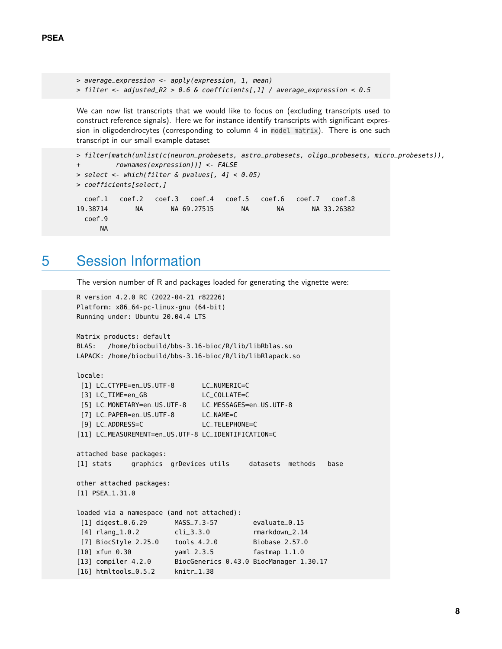```
> average_expression <- apply(expression, 1, mean)
> filter <- adjusted_R2 > 0.6 & coefficients[,1] / average_expression < 0.5
```
We can now list transcripts that we would like to focus on (excluding transcripts used to construct reference signals). Here we for instance identify transcripts with significant expression in oligodendrocytes (corresponding to column 4 in model\_matrix). There is one such transcript in our small example dataset

```
> filter[match(unlist(c(neuron_probesets, astro_probesets, oligo_probesets, micro_probesets)),
+ rownames(expression))] <- FALSE
> select <- which(filter & pvalues[, 4] < 0.05)
> coefficients[select,]
  coef.1 coef.2 coef.3 coef.4 coef.5 coef.6 coef.7 coef.8
19.38714 NA NA 69.27515 NA NA NA 33.26382
 coef.9
     NA
```
## <span id="page-7-0"></span>5 Session Information

The version number of R and packages loaded for generating the vignette were:

```
R version 4.2.0 RC (2022-04-21 r82226)
Platform: x86_64-pc-linux-gnu (64-bit)
Running under: Ubuntu 20.04.4 LTS
Matrix products: default
BLAS: /home/biocbuild/bbs-3.16-bioc/R/lib/libRblas.so
LAPACK: /home/biocbuild/bbs-3.16-bioc/R/lib/libRlapack.so
locale:
 [1] LC_CTYPE=en_US.UTF-8 LC_NUMERIC=C
 [3] LC_TIME=en_GB LC_COLLATE=C
 [5] LC_MONETARY=en_US.UTF-8 LC_MESSAGES=en_US.UTF-8
 [7] LC_PAPER=en_US.UTF-8 LC_NAME=C
 [9] LC_ADDRESS=C LC_TELEPHONE=C
[11] LC_MEASUREMENT=en_US.UTF-8 LC_IDENTIFICATION=C
attached base packages:
[1] stats graphics grDevices utils datasets methods base
other attached packages:
[1] PSEA_1.31.0
loaded via a namespace (and not attached):
 [1] digest_0.6.29 MASS_7.3-57 evaluate_0.15
 [4] rlang_1.0.2 cli_3.3.0 rmarkdown_2.14
 [7] BiocStyle_2.25.0 tools_4.2.0 Biobase_2.57.0
[10] xfun_0.30 yaml_2.3.5 fastmap_1.1.0
[13] compiler_4.2.0 BiocGenerics_0.43.0 BiocManager_1.30.17
[16] htmltools_0.5.2 knitr_1.38
```